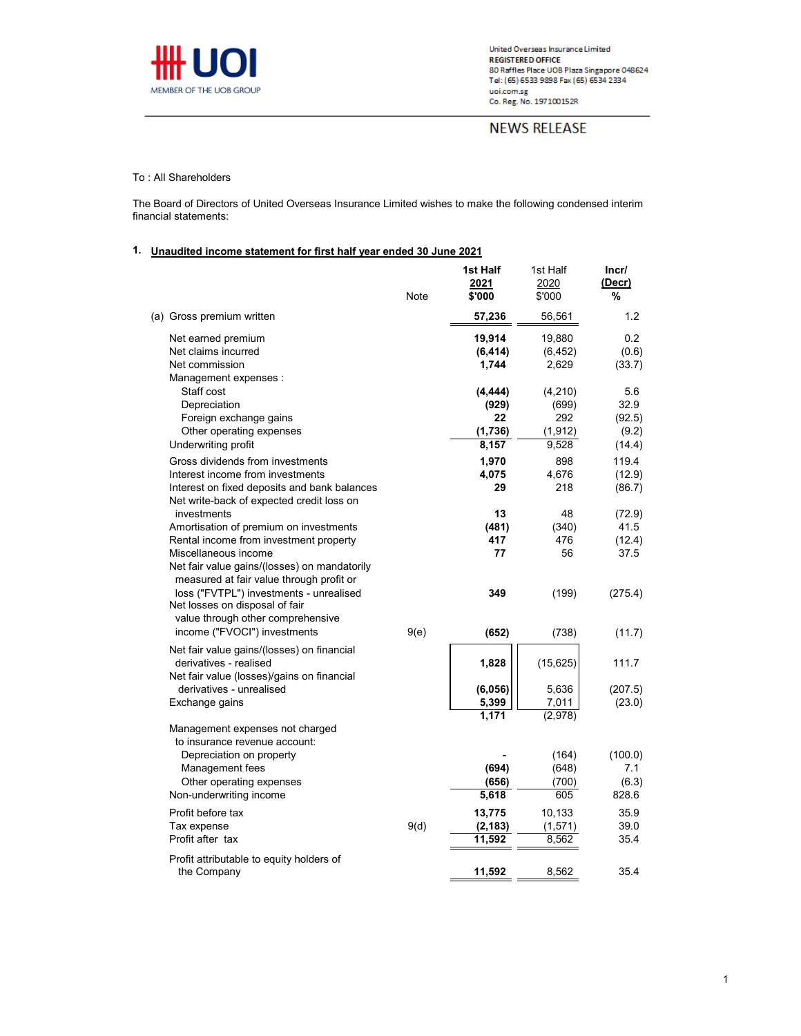

**NEWS RELEASE** 

## To : All Shareholders

The Board of Directors of United Overseas Insurance Limited wishes to make the following condensed interim financial statements:

## **1. Unaudited income statement for first half year ended 30 June 2021**

|                                                                                                                                                                                                                                                                    | Note | 1st Half<br>2021<br>\$'000 | 1st Half<br>2020<br>\$'000 | Incr/<br>(Decr)<br>%      |
|--------------------------------------------------------------------------------------------------------------------------------------------------------------------------------------------------------------------------------------------------------------------|------|----------------------------|----------------------------|---------------------------|
| (a) Gross premium written                                                                                                                                                                                                                                          |      | 57,236                     | 56,561                     | 1.2                       |
| Net earned premium                                                                                                                                                                                                                                                 |      | 19,914                     | 19,880                     | 0.2                       |
| Net claims incurred                                                                                                                                                                                                                                                |      | (6, 414)                   | (6, 452)                   | (0.6)                     |
| Net commission                                                                                                                                                                                                                                                     |      | 1,744                      | 2,629                      | (33.7)                    |
| Management expenses :                                                                                                                                                                                                                                              |      |                            |                            |                           |
| Staff cost                                                                                                                                                                                                                                                         |      | (4,444)                    | (4,210)                    | 5.6                       |
| Depreciation                                                                                                                                                                                                                                                       |      | (929)                      | (699)                      | 32.9                      |
| Foreign exchange gains                                                                                                                                                                                                                                             |      | 22                         | 292                        | (92.5)                    |
| Other operating expenses                                                                                                                                                                                                                                           |      | (1,736)                    | (1, 912)                   | (9.2)                     |
| Underwriting profit                                                                                                                                                                                                                                                |      | 8,157                      | 9,528                      | (14.4)                    |
| Gross dividends from investments                                                                                                                                                                                                                                   |      | 1,970                      | 898                        | 119.4                     |
| Interest income from investments                                                                                                                                                                                                                                   |      | 4,075                      | 4,676                      | (12.9)                    |
| Interest on fixed deposits and bank balances                                                                                                                                                                                                                       |      | 29                         | 218                        | (86.7)                    |
| Net write-back of expected credit loss on                                                                                                                                                                                                                          |      |                            |                            |                           |
| investments                                                                                                                                                                                                                                                        |      | 13                         | 48                         | (72.9)                    |
| Amortisation of premium on investments                                                                                                                                                                                                                             |      | (481)                      | (340)                      | 41.5                      |
| Rental income from investment property                                                                                                                                                                                                                             |      | 417                        | 476                        | (12.4)                    |
| Miscellaneous income<br>Net fair value gains/(losses) on mandatorily<br>measured at fair value through profit or<br>loss ("FVTPL") investments - unrealised<br>Net losses on disposal of fair<br>value through other comprehensive<br>income ("FVOCI") investments | 9(e) | 77<br>349<br>(652)         | 56<br>(199)<br>(738)       | 37.5<br>(275.4)<br>(11.7) |
| Net fair value gains/(losses) on financial<br>derivatives - realised<br>Net fair value (losses)/gains on financial                                                                                                                                                 |      | 1,828                      | (15, 625)                  | 111.7                     |
| derivatives - unrealised                                                                                                                                                                                                                                           |      | (6,056)                    | 5,636                      | (207.5)                   |
| Exchange gains                                                                                                                                                                                                                                                     |      | 5,399                      | 7,011                      | (23.0)                    |
|                                                                                                                                                                                                                                                                    |      | 1,171                      | (2,978)                    |                           |
| Management expenses not charged<br>to insurance revenue account:                                                                                                                                                                                                   |      |                            |                            |                           |
| Depreciation on property                                                                                                                                                                                                                                           |      |                            | (164)                      | (100.0)                   |
| Management fees                                                                                                                                                                                                                                                    |      | (694)                      | (648)                      | 7.1<br>(6.3)              |
| Other operating expenses<br>Non-underwriting income                                                                                                                                                                                                                |      | (656)<br>5,618             | (700)<br>605               | 828.6                     |
|                                                                                                                                                                                                                                                                    |      |                            |                            |                           |
| Profit before tax                                                                                                                                                                                                                                                  |      | 13,775                     | 10,133                     | 35.9                      |
| Tax expense                                                                                                                                                                                                                                                        | 9(d) | (2, 183)                   | (1, 571)                   | 39.0                      |
| Profit after tax                                                                                                                                                                                                                                                   |      | 11,592                     | 8,562                      | 35.4                      |
| Profit attributable to equity holders of<br>the Company                                                                                                                                                                                                            |      | 11,592                     | 8,562                      | 35.4                      |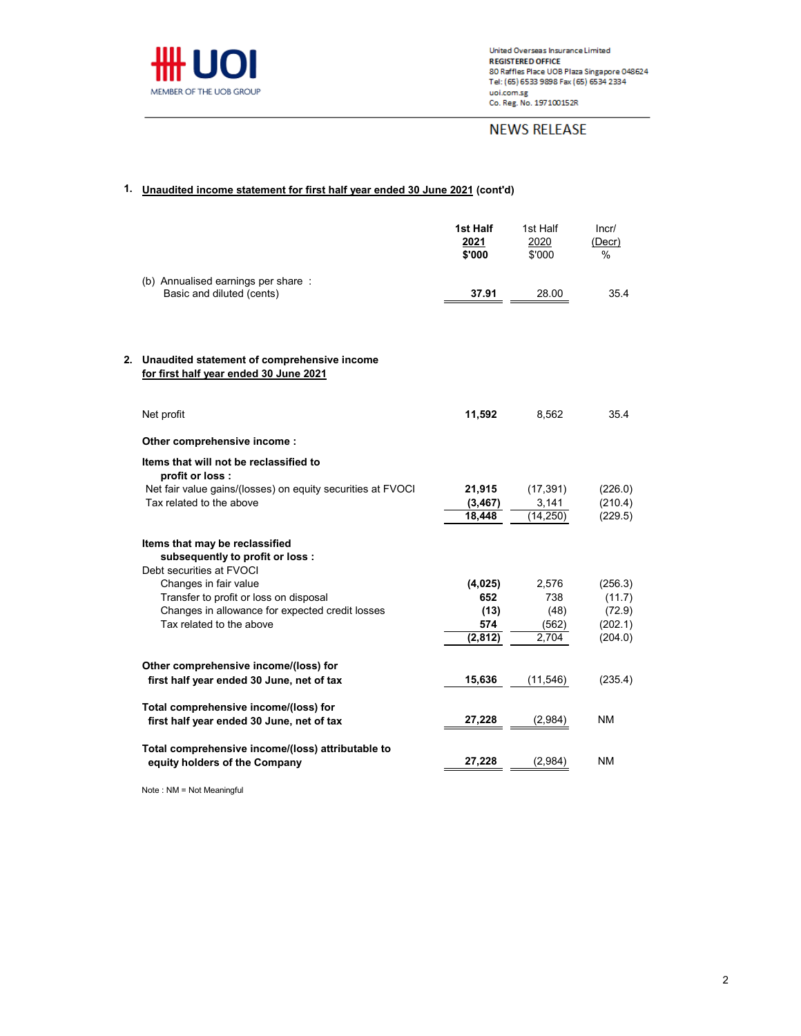

# **NEWS RELEASE**

# **1. Unaudited income statement for first half year ended 30 June 2021 (cont'd)**

|    |                                                                                                | 1st Half<br>2021<br>\$'000 | 1st Half<br>2020<br>\$'000 | Incr/<br>(Decr)<br>% |
|----|------------------------------------------------------------------------------------------------|----------------------------|----------------------------|----------------------|
|    | (b) Annualised earnings per share:<br>Basic and diluted (cents)                                | 37.91                      | 28.00                      | 35.4                 |
| 2. | Unaudited statement of comprehensive income<br>for first half year ended 30 June 2021          |                            |                            |                      |
|    | Net profit                                                                                     | 11,592                     | 8,562                      | 35.4                 |
|    | Other comprehensive income:                                                                    |                            |                            |                      |
|    | Items that will not be reclassified to<br>profit or loss:                                      |                            |                            |                      |
|    | Net fair value gains/(losses) on equity securities at FVOCI                                    | 21,915                     | (17, 391)                  | (226.0)              |
|    | Tax related to the above                                                                       | (3, 467)                   | 3,141                      | (210.4)              |
|    |                                                                                                | 18,448                     | (14,250)                   | (229.5)              |
|    | Items that may be reclassified<br>subsequently to profit or loss :<br>Debt securities at FVOCI |                            |                            |                      |
|    | Changes in fair value                                                                          | (4,025)                    | 2,576                      | (256.3)              |
|    | Transfer to profit or loss on disposal                                                         | 652                        | 738                        | (11.7)               |
|    | Changes in allowance for expected credit losses                                                | (13)                       | (48)                       | (72.9)               |
|    | Tax related to the above                                                                       | 574                        | (562)                      | (202.1)              |
|    |                                                                                                | (2,812)                    | 2,704                      | (204.0)              |
|    | Other comprehensive income/(loss) for                                                          |                            |                            |                      |
|    | first half year ended 30 June, net of tax                                                      | 15,636                     | (11, 546)                  | (235.4)              |
|    | Total comprehensive income/(loss) for<br>first half year ended 30 June, net of tax             | 27,228                     | (2,984)                    | ΝM                   |
|    | Total comprehensive income/(loss) attributable to<br>equity holders of the Company             | 27,228                     | (2,984)                    | <b>NM</b>            |
|    |                                                                                                |                            |                            |                      |

Note : NM = Not Meaningful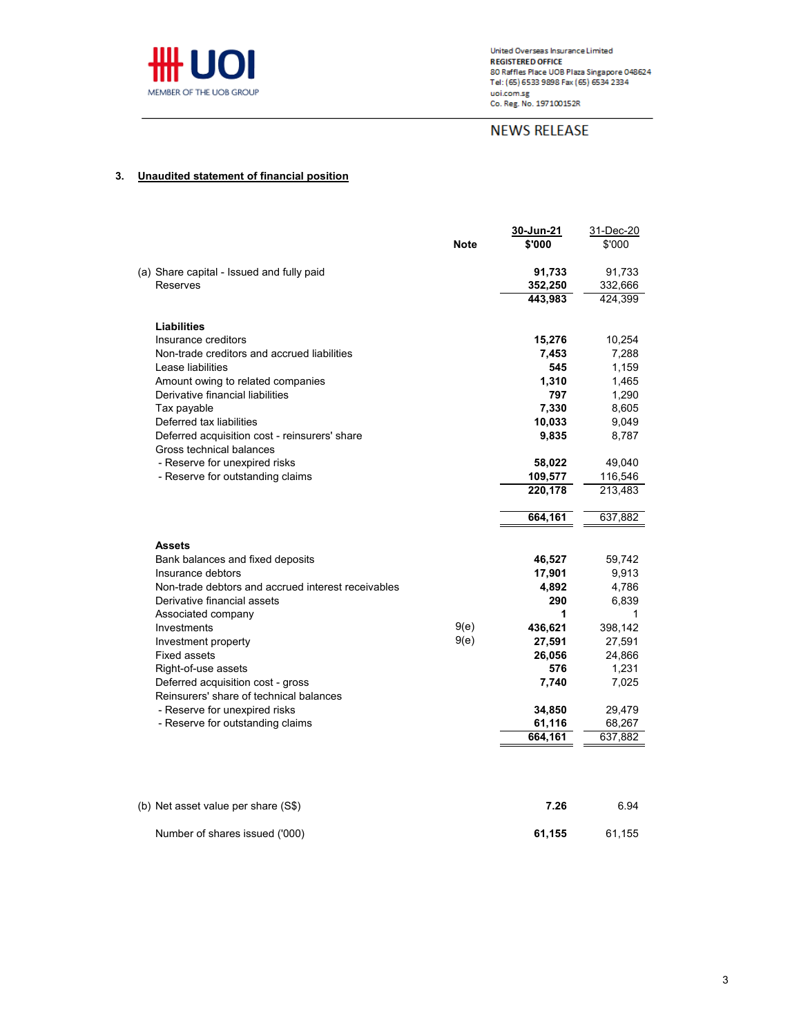

# **NEWS RELEASE**

# **3. Unaudited statement of financial position**

|                                                       | <b>Note</b> | 30-Jun-21<br>\$'000 | 31-Dec-20<br>\$'000 |
|-------------------------------------------------------|-------------|---------------------|---------------------|
|                                                       |             |                     |                     |
| (a) Share capital - Issued and fully paid             |             | 91,733              | 91,733              |
| Reserves                                              |             | 352,250             | 332,666             |
|                                                       |             | 443.983             | 424,399             |
|                                                       |             |                     |                     |
| Liabilities                                           |             |                     |                     |
| Insurance creditors                                   |             | 15,276              | 10,254              |
| Non-trade creditors and accrued liabilities           |             | 7,453               | 7,288               |
| Lease liabilities                                     |             | 545                 | 1,159               |
| Amount owing to related companies                     |             | 1,310               | 1,465               |
| Derivative financial liabilities                      |             | 797                 | 1,290               |
| Tax payable                                           |             | 7,330               | 8,605               |
| Deferred tax liabilities                              |             | 10,033              | 9,049               |
| Deferred acquisition cost - reinsurers' share         |             | 9,835               | 8,787               |
| Gross technical balances                              |             |                     |                     |
| - Reserve for unexpired risks                         |             | 58,022              | 49,040              |
| - Reserve for outstanding claims                      |             | 109,577             | 116,546             |
|                                                       |             | 220,178             | 213,483             |
|                                                       |             |                     |                     |
|                                                       |             | 664,161             | 637,882             |
|                                                       |             |                     |                     |
| <b>Assets</b>                                         |             |                     |                     |
| Bank balances and fixed deposits<br>Insurance debtors |             | 46,527<br>17,901    | 59,742<br>9,913     |
| Non-trade debtors and accrued interest receivables    |             | 4,892               | 4,786               |
| Derivative financial assets                           |             | 290                 | 6.839               |
| Associated company                                    |             | 1                   | 1                   |
| Investments                                           | 9(e)        | 436,621             | 398,142             |
| Investment property                                   | 9(e)        | 27,591              | 27,591              |
| <b>Fixed assets</b>                                   |             | 26,056              | 24,866              |
| Right-of-use assets                                   |             | 576                 | 1,231               |
| Deferred acquisition cost - gross                     |             | 7,740               | 7,025               |
| Reinsurers' share of technical balances               |             |                     |                     |
| - Reserve for unexpired risks                         |             | 34,850              | 29,479              |
| - Reserve for outstanding claims                      |             | 61,116              | 68,267              |
|                                                       |             | 664,161             | 637,882             |
|                                                       |             |                     |                     |
|                                                       |             |                     |                     |

| (b) Net asset value per share (S\$) | 7.26   | 6.94   |
|-------------------------------------|--------|--------|
| Number of shares issued ('000)      | 61.155 | 61.155 |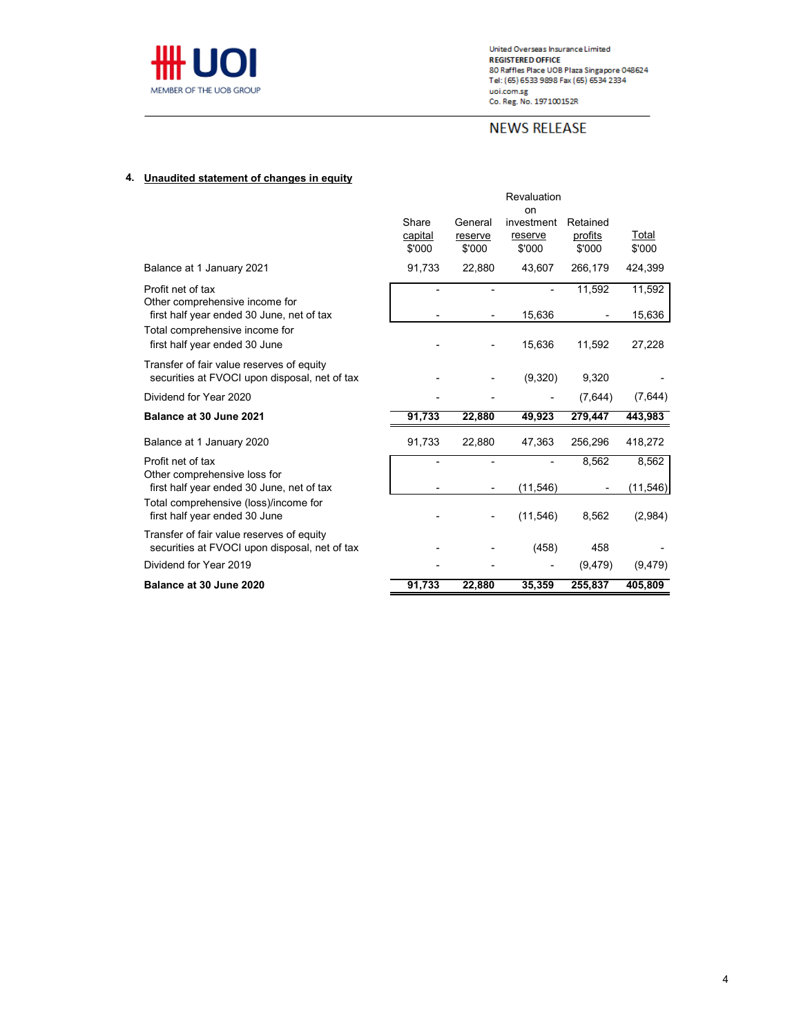

United Overseas Insurance Limited<br>REGISTERED OFFICE<br>80 Raffles Place UOB Plaza Singapore 048624<br>Tel: (65) 6533 9898 Fax (65) 6534 2334 Let (89) 0333 388018.10<br>Loi.com.sg<br>Co. Reg. No. 197100152R

# **NEWS RELEASE**

# **4. Unaudited statement of changes in equity**

|                                                                                            |                            |                              | Revaluation<br>on               |                               |                 |
|--------------------------------------------------------------------------------------------|----------------------------|------------------------------|---------------------------------|-------------------------------|-----------------|
|                                                                                            | Share<br>capital<br>\$'000 | General<br>reserve<br>\$'000 | investment<br>reserve<br>\$'000 | Retained<br>profits<br>\$'000 | Total<br>\$'000 |
| Balance at 1 January 2021                                                                  | 91,733                     | 22,880                       | 43.607                          | 266.179                       | 424.399         |
| Profit net of tax<br>Other comprehensive income for                                        |                            | ٠                            |                                 | 11,592                        | 11,592          |
| first half year ended 30 June, net of tax                                                  |                            |                              | 15,636                          |                               | 15,636          |
| Total comprehensive income for<br>first half year ended 30 June                            |                            |                              | 15,636                          | 11,592                        | 27,228          |
| Transfer of fair value reserves of equity<br>securities at FVOCI upon disposal, net of tax |                            |                              | (9,320)                         | 9,320                         |                 |
| Dividend for Year 2020                                                                     |                            |                              |                                 | (7,644)                       | (7,644)         |
| Balance at 30 June 2021                                                                    | 91,733                     | 22,880                       | 49,923                          | 279,447                       | 443,983         |
| Balance at 1 January 2020                                                                  | 91,733                     | 22,880                       | 47,363                          | 256,296                       | 418,272         |
| Profit net of tax                                                                          |                            | -                            |                                 | 8,562                         | 8,562           |
| Other comprehensive loss for<br>first half year ended 30 June, net of tax                  |                            |                              | (11,546)                        |                               | (11,546)        |
| Total comprehensive (loss)/income for<br>first half year ended 30 June                     |                            |                              | (11, 546)                       | 8,562                         | (2,984)         |
| Transfer of fair value reserves of equity<br>securities at FVOCI upon disposal, net of tax |                            |                              | (458)                           | 458                           |                 |
| Dividend for Year 2019                                                                     |                            |                              |                                 | (9, 479)                      | (9, 479)        |
| Balance at 30 June 2020                                                                    | 91,733                     | 22,880                       | 35,359                          | 255,837                       | 405,809         |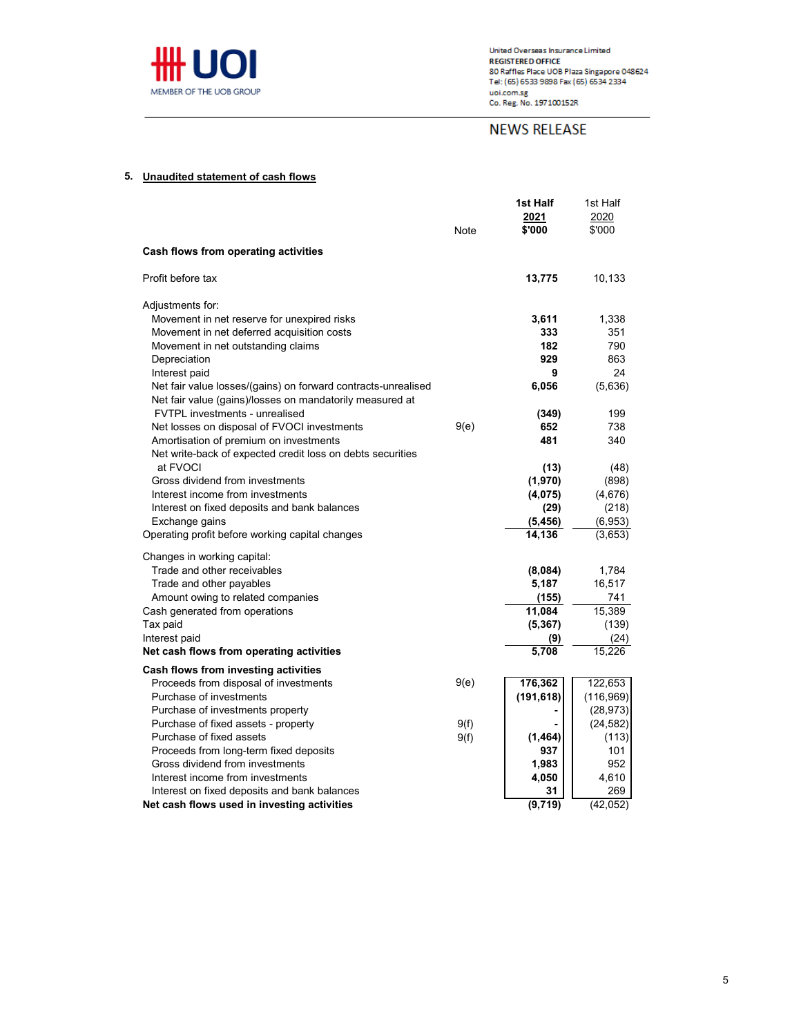

# **NEWS RELEASE**

### **5. Unaudited statement of cash flows**

|                                                                                            | Note | 1st Half<br>2021<br>\$'000 | 1st Half<br>2020<br>\$'000 |
|--------------------------------------------------------------------------------------------|------|----------------------------|----------------------------|
| Cash flows from operating activities                                                       |      |                            |                            |
| Profit before tax                                                                          |      | 13,775                     | 10,133                     |
| Adjustments for:                                                                           |      |                            |                            |
| Movement in net reserve for unexpired risks                                                |      | 3,611                      | 1,338                      |
| Movement in net deferred acquisition costs                                                 |      | 333                        | 351                        |
| Movement in net outstanding claims                                                         |      | 182                        | 790                        |
| Depreciation                                                                               |      | 929                        | 863                        |
| Interest paid                                                                              |      | 9                          | 24                         |
| Net fair value losses/(gains) on forward contracts-unrealised                              |      | 6,056                      | (5,636)                    |
| Net fair value (gains)/losses on mandatorily measured at<br>FVTPL investments - unrealised |      | (349)                      | 199                        |
| Net losses on disposal of FVOCI investments                                                | 9(e) | 652                        | 738                        |
| Amortisation of premium on investments                                                     |      | 481                        | 340                        |
| Net write-back of expected credit loss on debts securities                                 |      |                            |                            |
| at FVOCI                                                                                   |      | (13)                       | (48)                       |
| Gross dividend from investments                                                            |      | (1,970)                    | (898)                      |
| Interest income from investments                                                           |      | (4,075)                    | (4,676)                    |
| Interest on fixed deposits and bank balances                                               |      | (29)                       | (218)                      |
| Exchange gains                                                                             |      | (5, 456)                   | (6,953)                    |
| Operating profit before working capital changes                                            |      | 14,136                     | (3,653)                    |
| Changes in working capital:                                                                |      |                            |                            |
| Trade and other receivables                                                                |      | (8,084)                    | 1,784                      |
| Trade and other payables                                                                   |      | 5,187                      | 16,517                     |
| Amount owing to related companies                                                          |      | (155)                      | 741                        |
| Cash generated from operations                                                             |      | 11,084                     | 15.389                     |
| Tax paid                                                                                   |      | (5, 367)                   | (139)                      |
| Interest paid                                                                              |      | (9)                        | (24)                       |
| Net cash flows from operating activities                                                   |      | 5,708                      | 15,226                     |
| Cash flows from investing activities                                                       |      |                            |                            |
| Proceeds from disposal of investments                                                      | 9(e) | 176,362                    | 122,653                    |
| Purchase of investments                                                                    |      | (191, 618)                 | (116, 969)                 |
| Purchase of investments property                                                           |      |                            | (28, 973)                  |
| Purchase of fixed assets - property                                                        | 9(f) |                            | (24, 582)                  |
| Purchase of fixed assets                                                                   | 9(f) | (1,464)                    | (113)                      |
| Proceeds from long-term fixed deposits                                                     |      | 937                        | 101                        |
| Gross dividend from investments                                                            |      | 1,983                      | 952                        |
| Interest income from investments                                                           |      | 4,050                      | 4,610                      |
| Interest on fixed deposits and bank balances                                               |      | 31                         | 269                        |
| Net cash flows used in investing activities                                                |      | (9,719)                    | (42, 052)                  |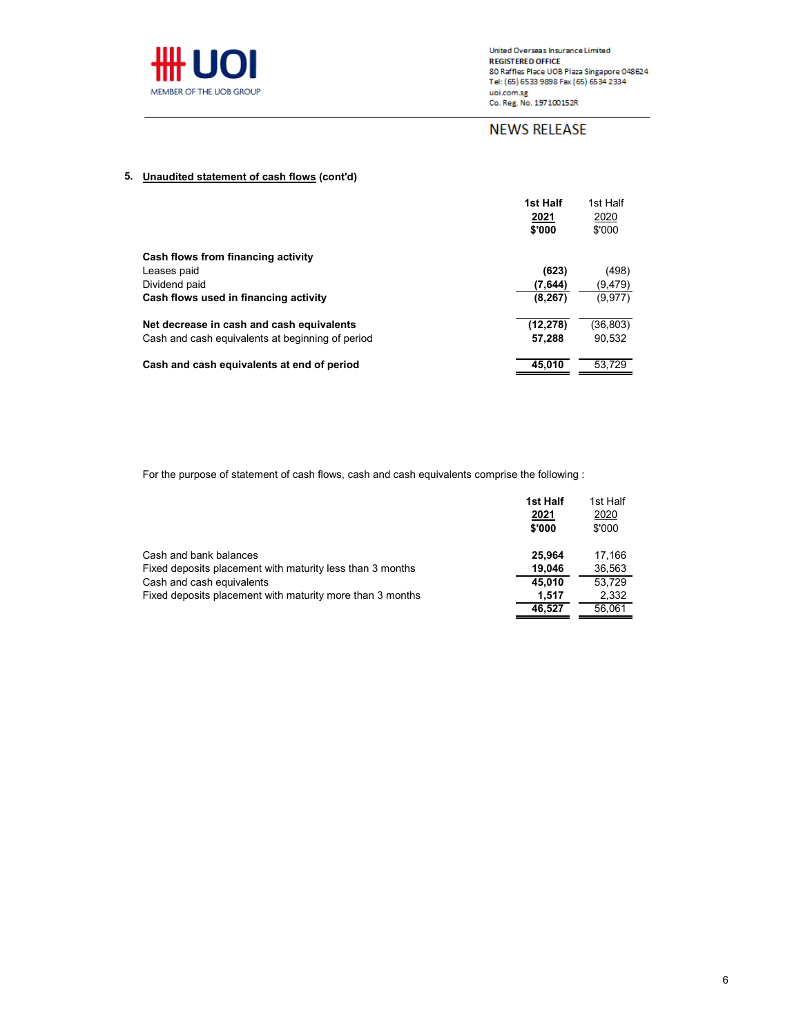

United Overseas Insurance Limited onted Overseas insurance Limited<br>REGISTERE DOFFICE<br>80 Raffles Place UOB Plaza Singapore 048624<br>Tel: (65) 6533 9898 Fax (65) 6534 2334 uoi.com.sg<br>Co. Reg. No. 197100152R

# **NEWS RELEASE**

# **5. Unaudited statement of cash flows (cont'd)**

|                                                  | 1st Half  | 1st Half  |
|--------------------------------------------------|-----------|-----------|
|                                                  | 2021      | 2020      |
|                                                  | \$'000    | \$'000    |
| Cash flows from financing activity               |           |           |
| Leases paid                                      | (623)     | (498)     |
| Dividend paid                                    | (7,644)   | (9,479)   |
| Cash flows used in financing activity            | (8, 267)  | (9, 977)  |
| Net decrease in cash and cash equivalents        | (12, 278) | (36, 803) |
| Cash and cash equivalents at beginning of period | 57,288    | 90.532    |
| Cash and cash equivalents at end of period       | 45.010    | 53.729    |

For the purpose of statement of cash flows, cash and cash equivalents comprise the following :

|                                                           | 1st Half | 1st Half |
|-----------------------------------------------------------|----------|----------|
|                                                           | 2021     | 2020     |
|                                                           | \$'000   | \$'000   |
| Cash and bank balances                                    | 25.964   | 17.166   |
| Fixed deposits placement with maturity less than 3 months | 19.046   | 36,563   |
| Cash and cash equivalents                                 | 45.010   | 53.729   |
| Fixed deposits placement with maturity more than 3 months | 1.517    | 2,332    |
|                                                           | 46.527   | 56.061   |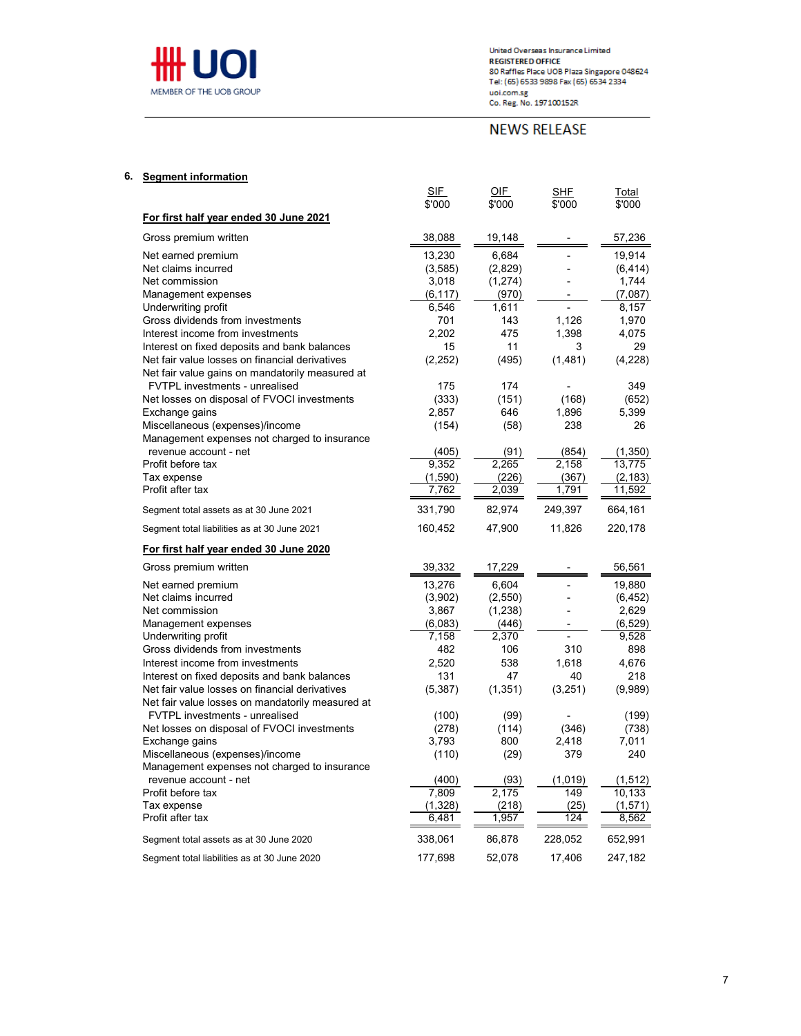

# **NEWS RELEASE**

| 6. | <b>Seament information</b> |  |
|----|----------------------------|--|
|----|----------------------------|--|

|                                                                                 | SIF<br>\$'000 | <u>OIF</u><br>\$'000 | SHF<br>\$'000 | Total<br>\$'000 |
|---------------------------------------------------------------------------------|---------------|----------------------|---------------|-----------------|
| For first half year ended 30 June 2021                                          |               |                      |               |                 |
| Gross premium written                                                           | 38,088        | 19,148               |               | 57,236          |
| Net earned premium                                                              | 13,230        | 6,684                |               | 19,914          |
| Net claims incurred                                                             | (3,585)       | (2,829)              |               | (6, 414)        |
| Net commission                                                                  | 3,018         | (1, 274)             |               | 1,744           |
| Management expenses                                                             | (6, 117)      | (970)                |               | (7,087)         |
| Underwriting profit                                                             | 6,546         | 1,611                |               | 8,157           |
| Gross dividends from investments                                                | 701           | 143                  | 1,126         | 1,970           |
| Interest income from investments                                                | 2,202         | 475                  | 1,398         | 4,075           |
| Interest on fixed deposits and bank balances                                    | 15            | 11                   | 3             | 29              |
| Net fair value losses on financial derivatives                                  | (2, 252)      | (495)                | (1,481)       | (4,228)         |
| Net fair value gains on mandatorily measured at                                 |               |                      |               |                 |
| FVTPL investments - unrealised                                                  | 175           | 174                  |               | 349             |
| Net losses on disposal of FVOCI investments                                     | (333)         | (151)                | (168)         | (652)           |
| Exchange gains                                                                  | 2,857         | 646                  | 1,896         | 5,399           |
| Miscellaneous (expenses)/income<br>Management expenses not charged to insurance | (154)         | (58)                 | 238           | 26              |
| revenue account - net                                                           | (405)         | (91)                 | (854)         | (1,350)         |
| Profit before tax                                                               | 9,352         | 2,265                | 2,158         | 13,775          |
| Tax expense                                                                     | (1,590)       | (226)                | (367)         | (2, 183)        |
| Profit after tax                                                                | 7,762         | 2,039                | 1,791         | 11,592          |
| Segment total assets as at 30 June 2021                                         | 331,790       | 82,974               | 249,397       | 664,161         |
| Segment total liabilities as at 30 June 2021                                    | 160,452       | 47,900               | 11,826        | 220,178         |
| For first half year ended 30 June 2020                                          |               |                      |               |                 |
| Gross premium written                                                           | 39,332        | 17,229               |               | 56,561          |
| Net earned premium                                                              | 13,276        | 6,604                |               | 19,880          |
| Net claims incurred                                                             | (3,902)       | (2,550)              |               | (6, 452)        |
| Net commission                                                                  |               |                      |               |                 |
|                                                                                 | 3,867         | (1, 238)             |               | 2,629           |
| Management expenses                                                             | (6,083)       | (446)                |               | (6, 529)        |
| Underwriting profit                                                             | 7,158         | 2,370                |               | 9,528           |
| Gross dividends from investments                                                | 482           | 106                  | 310           | 898             |
| Interest income from investments                                                | 2,520         | 538                  | 1,618         | 4,676           |
| Interest on fixed deposits and bank balances                                    | 131           | 47                   | 40            | 218             |
| Net fair value losses on financial derivatives                                  | (5, 387)      | (1, 351)             | (3,251)       | (9,989)         |
| Net fair value losses on mandatorily measured at                                |               |                      |               |                 |
| <b>FVTPL</b> investments - unrealised                                           | (100)         | (99)                 |               | (199)           |
| Net losses on disposal of FVOCI investments                                     | (278)         | (114)                | (346)         | (738)           |
| Exchange gains                                                                  | 3,793         | 800                  | 2,418         | 7,011           |
| Miscellaneous (expenses)/income                                                 | (110)         | (29)                 | 379           | 240             |
| Management expenses not charged to insurance<br>revenue account - net           | (400)         | (93)                 | (1,019)       | (1, 512)        |
| Profit before tax                                                               | 7.809         | 2.175                | 149           | 10.133          |
| Tax expense                                                                     | (1,328)       | (218)                | (25)          | (1, 571)        |
| Profit after tax                                                                | 6,481         | 1,957                | 124           | 8,562           |
| Segment total assets as at 30 June 2020                                         | 338,061       | 86,878               | 228,052       | 652,991         |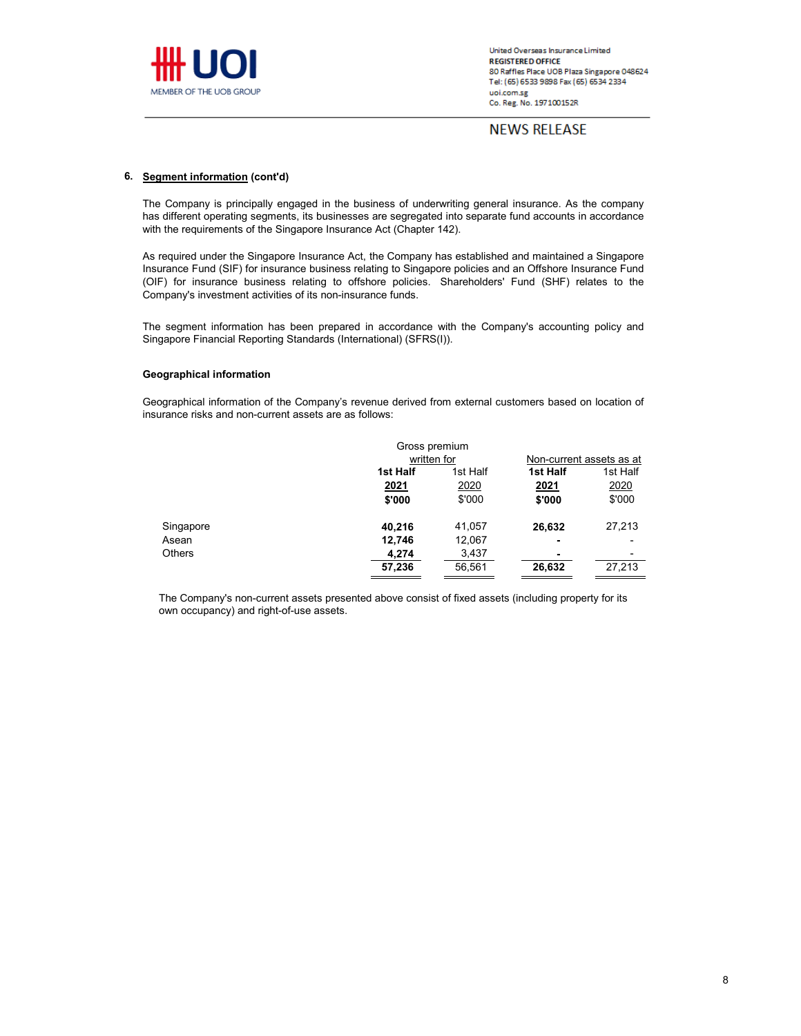

**NEWS RELEASE** 

### **6. Segment information (cont'd)**

The Company is principally engaged in the business of underwriting general insurance. As the company has different operating segments, its businesses are segregated into separate fund accounts in accordance with the requirements of the Singapore Insurance Act (Chapter 142).

As required under the Singapore Insurance Act, the Company has established and maintained a Singapore Insurance Fund (SIF) for insurance business relating to Singapore policies and an Offshore Insurance Fund (OIF) for insurance business relating to offshore policies. Shareholders' Fund (SHF) relates to the Company's investment activities of its non-insurance funds.

The segment information has been prepared in accordance with the Company's accounting policy and Singapore Financial Reporting Standards (International) (SFRS(I)).

### **Geographical information**

Geographical information of the Company's revenue derived from external customers based on location of insurance risks and non-current assets are as follows:

|               | Gross premium |          |                          |          |
|---------------|---------------|----------|--------------------------|----------|
|               | written for   |          | Non-current assets as at |          |
|               | 1st Half      | 1st Half | 1st Half                 | 1st Half |
|               | 2021          | 2020     | 2021                     | 2020     |
|               | \$'000        | \$'000   | \$'000                   | \$'000   |
| Singapore     | 40,216        | 41,057   | 26,632                   | 27,213   |
| Asean         | 12,746        | 12,067   | ۰                        |          |
| <b>Others</b> | 4,274         | 3,437    | ۰                        |          |
|               | 57,236        | 56,561   | 26,632                   | 27,213   |

The Company's non-current assets presented above consist of fixed assets (including property for its own occupancy) and right-of-use assets.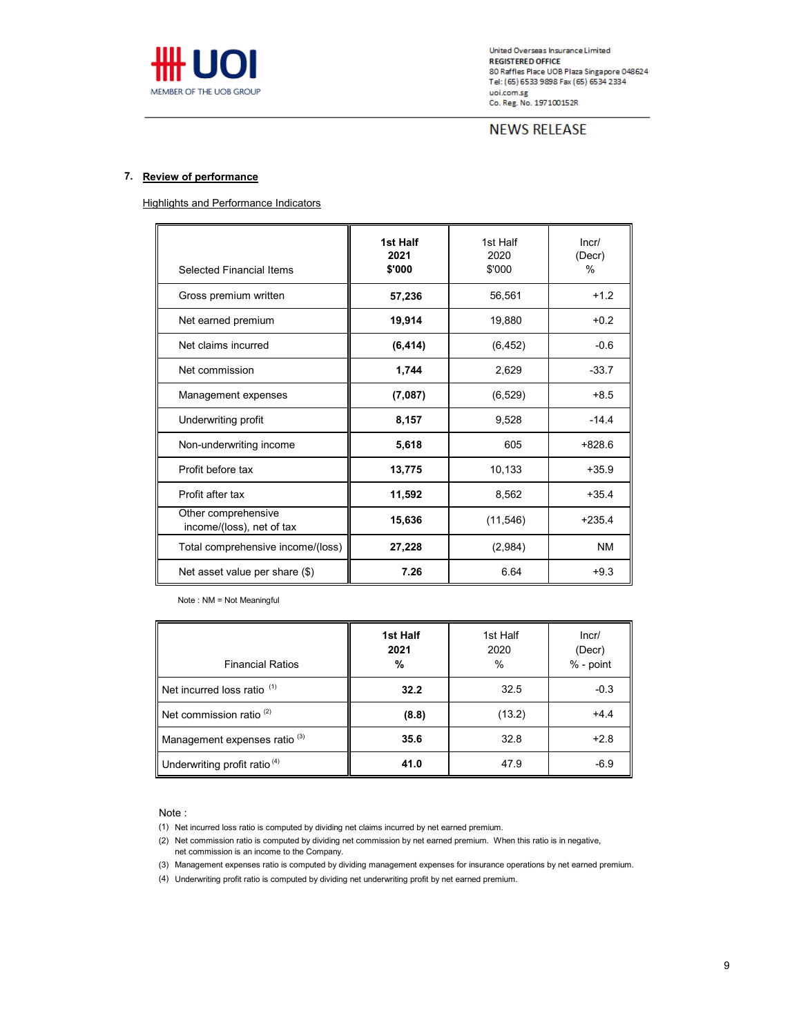

# **NEWS RELEASE**

### **7. Review of performance**

**Highlights and Performance Indicators** 

| Selected Financial Items                         | 1st Half<br>2021<br>\$'000 | 1st Half<br>2020<br>\$'000 | Incr/<br>(Decr)<br>$\%$ |
|--------------------------------------------------|----------------------------|----------------------------|-------------------------|
| Gross premium written                            | 57,236                     | 56,561                     | $+1.2$                  |
| Net earned premium                               | 19,914                     | 19,880                     | $+0.2$                  |
| Net claims incurred                              | (6, 414)                   | (6, 452)                   | $-0.6$                  |
| Net commission                                   | 1,744                      | 2,629                      | $-33.7$                 |
| Management expenses                              | (7,087)                    | (6, 529)                   | $+8.5$                  |
| Underwriting profit                              | 8,157                      | 9,528                      | $-14.4$                 |
| Non-underwriting income                          | 5,618                      | 605                        | $+828.6$                |
| Profit before tax                                | 13,775                     | 10,133                     | $+35.9$                 |
| Profit after tax                                 | 11,592                     | 8,562                      | $+35.4$                 |
| Other comprehensive<br>income/(loss), net of tax | 15,636                     | (11, 546)                  | $+235.4$                |
| Total comprehensive income/(loss)                | 27,228                     | (2,984)                    | <b>NM</b>               |
| Net asset value per share (\$)                   | 7.26                       | 6.64                       | $+9.3$                  |

Note : NM = Not Meaningful

| <b>Financial Ratios</b>                  | 1st Half<br>2021<br>% | 1st Half<br>2020<br>$\frac{0}{0}$ | Incr/<br>(Decr)<br>% - point |
|------------------------------------------|-----------------------|-----------------------------------|------------------------------|
| Net incurred loss ratio <sup>(1)</sup>   | 32.2                  | 32.5                              | $-0.3$                       |
| Net commission ratio <sup>(2)</sup>      | (8.8)                 | (13.2)                            | $+4.4$                       |
| Management expenses ratio <sup>(3)</sup> | 35.6                  | 32.8                              | $+2.8$                       |
| Underwriting profit ratio <sup>(4)</sup> | 41.0                  | 47.9                              | $-6.9$                       |

Note :

- (1) Net incurred loss ratio is computed by dividing net claims incurred by net earned premium.
- (2) Net commission ratio is computed by dividing net commission by net earned premium. When this ratio is in negative, net commission is an income to the Company.
- (3) Management expenses ratio is computed by dividing management expenses for insurance operations by net earned premium.
- (4) Underwriting profit ratio is computed by dividing net underwriting profit by net earned premium.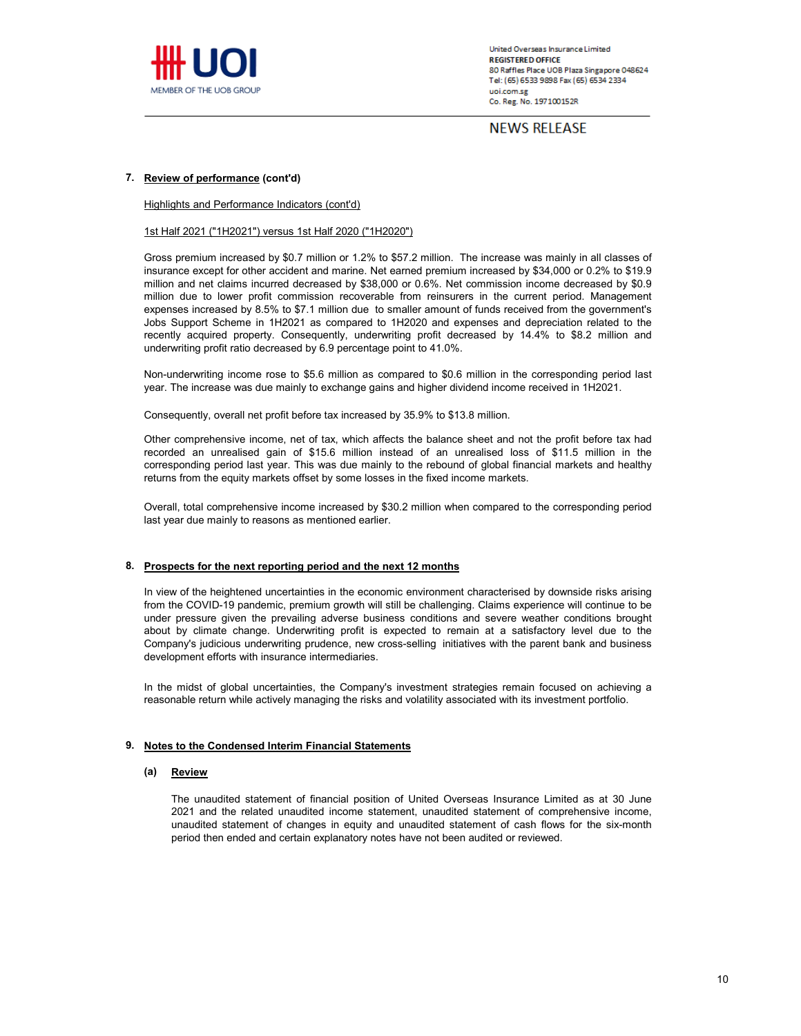

**NEWS RELEASE** 

### **7. Review of performance (cont'd)**

Highlights and Performance Indicators (cont'd)

#### 1st Half 2021 ("1H2021") versus 1st Half 2020 ("1H2020")

Gross premium increased by \$0.7 million or 1.2% to \$57.2 million. The increase was mainly in all classes of insurance except for other accident and marine. Net earned premium increased by \$34,000 or 0.2% to \$19.9 million and net claims incurred decreased by \$38,000 or 0.6%. Net commission income decreased by \$0.9 million due to lower profit commission recoverable from reinsurers in the current period. Management expenses increased by 8.5% to \$7.1 million due to smaller amount of funds received from the government's Jobs Support Scheme in 1H2021 as compared to 1H2020 and expenses and depreciation related to the recently acquired property. Consequently, underwriting profit decreased by 14.4% to \$8.2 million and underwriting profit ratio decreased by 6.9 percentage point to 41.0%.

Non-underwriting income rose to \$5.6 million as compared to \$0.6 million in the corresponding period last year. The increase was due mainly to exchange gains and higher dividend income received in 1H2021.

Consequently, overall net profit before tax increased by 35.9% to \$13.8 million.

Other comprehensive income, net of tax, which affects the balance sheet and not the profit before tax had recorded an unrealised gain of \$15.6 million instead of an unrealised loss of \$11.5 million in the corresponding period last year. This was due mainly to the rebound of global financial markets and healthy returns from the equity markets offset by some losses in the fixed income markets.

Overall, total comprehensive income increased by \$30.2 million when compared to the corresponding period last year due mainly to reasons as mentioned earlier.

#### **8. Prospects for the next reporting period and the next 12 months**

In view of the heightened uncertainties in the economic environment characterised by downside risks arising from the COVID-19 pandemic, premium growth will still be challenging. Claims experience will continue to be under pressure given the prevailing adverse business conditions and severe weather conditions brought about by climate change. Underwriting profit is expected to remain at a satisfactory level due to the Company's judicious underwriting prudence, new cross-selling initiatives with the parent bank and business development efforts with insurance intermediaries.

In the midst of global uncertainties, the Company's investment strategies remain focused on achieving a reasonable return while actively managing the risks and volatility associated with its investment portfolio.

### **9. Notes to the Condensed Interim Financial Statements**

#### **(a) Review**

The unaudited statement of financial position of United Overseas Insurance Limited as at 30 June 2021 and the related unaudited income statement, unaudited statement of comprehensive income, unaudited statement of changes in equity and unaudited statement of cash flows for the six-month period then ended and certain explanatory notes have not been audited or reviewed.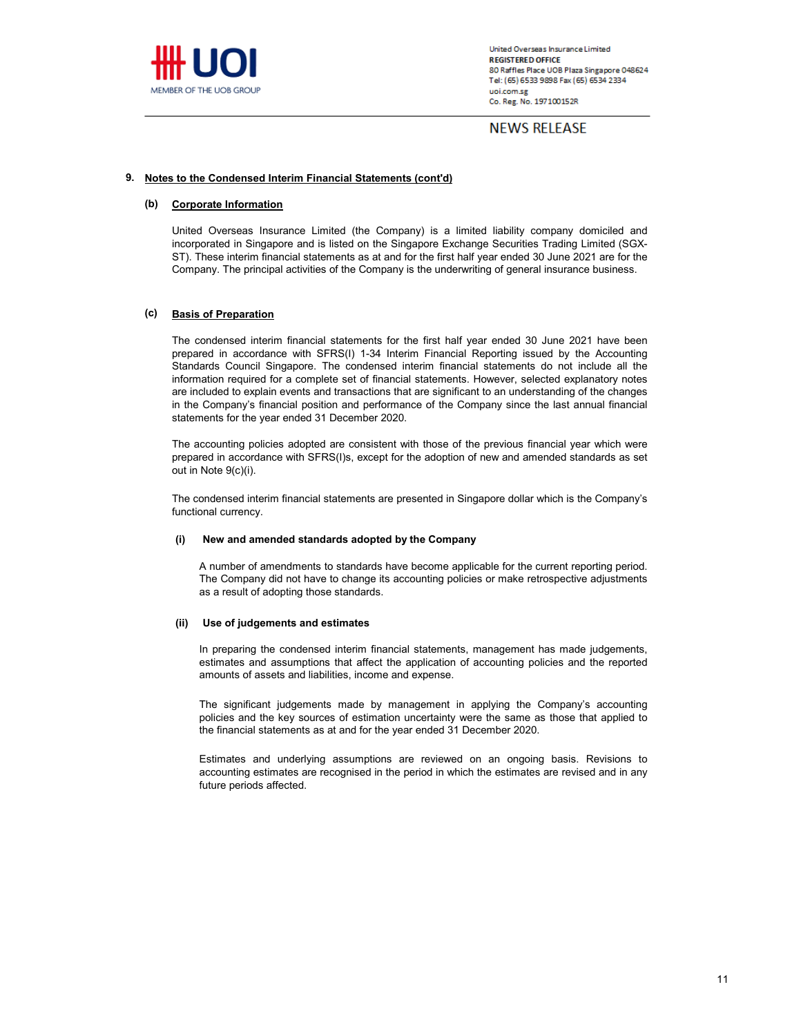

**NEWS RELEASE** 

## **9. Notes to the Condensed Interim Financial Statements (cont'd)**

#### **(b) Corporate Information**

United Overseas Insurance Limited (the Company) is a limited liability company domiciled and incorporated in Singapore and is listed on the Singapore Exchange Securities Trading Limited (SGX-ST). These interim financial statements as at and for the first half year ended 30 June 2021 are for the Company. The principal activities of the Company is the underwriting of general insurance business.

#### **(c) Basis of Preparation**

The condensed interim financial statements for the first half year ended 30 June 2021 have been prepared in accordance with SFRS(I) 1-34 Interim Financial Reporting issued by the Accounting Standards Council Singapore. The condensed interim financial statements do not include all the information required for a complete set of financial statements. However, selected explanatory notes are included to explain events and transactions that are significant to an understanding of the changes in the Company's financial position and performance of the Company since the last annual financial statements for the year ended 31 December 2020.

The accounting policies adopted are consistent with those of the previous financial year which were prepared in accordance with SFRS(I)s, except for the adoption of new and amended standards as set out in Note 9(c)(i).

The condensed interim financial statements are presented in Singapore dollar which is the Company's functional currency.

#### **(i) New and amended standards adopted by the Company**

A number of amendments to standards have become applicable for the current reporting period. The Company did not have to change its accounting policies or make retrospective adjustments as a result of adopting those standards.

#### **(ii) Use of judgements and estimates**

In preparing the condensed interim financial statements, management has made judgements, estimates and assumptions that affect the application of accounting policies and the reported amounts of assets and liabilities, income and expense.

The significant judgements made by management in applying the Company's accounting policies and the key sources of estimation uncertainty were the same as those that applied to the financial statements as at and for the year ended 31 December 2020.

Estimates and underlying assumptions are reviewed on an ongoing basis. Revisions to accounting estimates are recognised in the period in which the estimates are revised and in any future periods affected.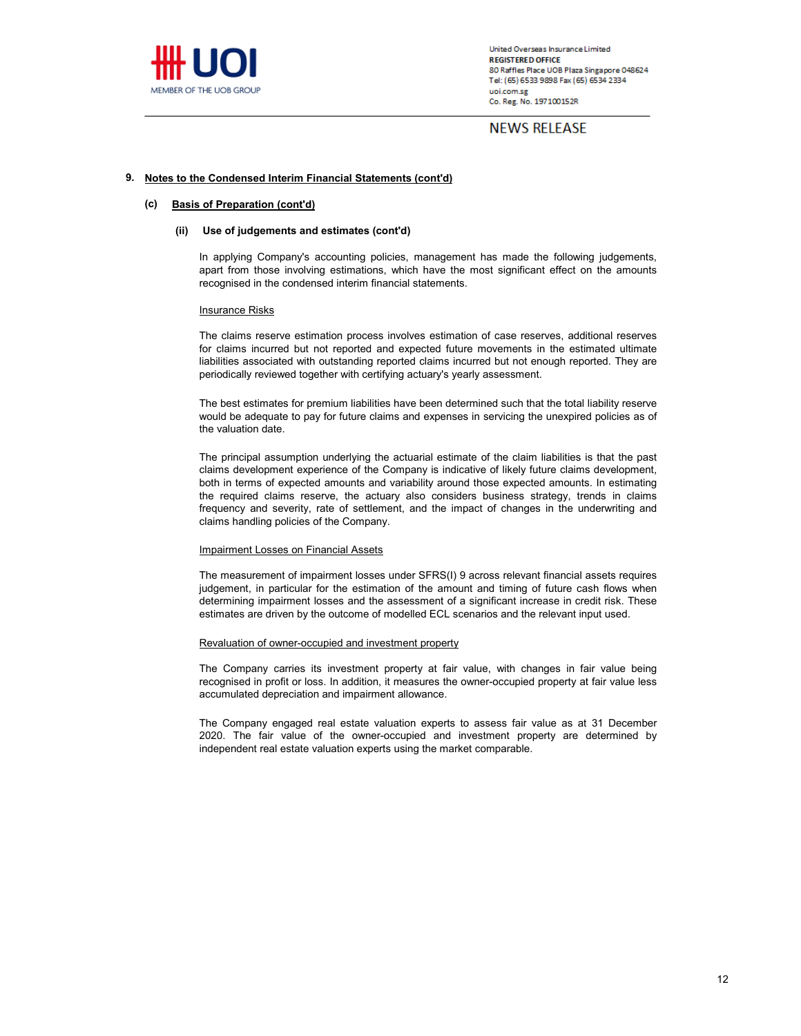

**NEWS RELEASE** 

## **9. Notes to the Condensed Interim Financial Statements (cont'd)**

#### **(c) Basis of Preparation (cont'd)**

#### **(ii) Use of judgements and estimates (cont'd)**

In applying Company's accounting policies, management has made the following judgements, apart from those involving estimations, which have the most significant effect on the amounts recognised in the condensed interim financial statements.

#### **Insurance Risks**

The claims reserve estimation process involves estimation of case reserves, additional reserves for claims incurred but not reported and expected future movements in the estimated ultimate liabilities associated with outstanding reported claims incurred but not enough reported. They are periodically reviewed together with certifying actuary's yearly assessment.

The best estimates for premium liabilities have been determined such that the total liability reserve would be adequate to pay for future claims and expenses in servicing the unexpired policies as of the valuation date.

The principal assumption underlying the actuarial estimate of the claim liabilities is that the past claims development experience of the Company is indicative of likely future claims development, both in terms of expected amounts and variability around those expected amounts. In estimating the required claims reserve, the actuary also considers business strategy, trends in claims frequency and severity, rate of settlement, and the impact of changes in the underwriting and claims handling policies of the Company.

#### Impairment Losses on Financial Assets

The measurement of impairment losses under SFRS(I) 9 across relevant financial assets requires judgement, in particular for the estimation of the amount and timing of future cash flows when determining impairment losses and the assessment of a significant increase in credit risk. These estimates are driven by the outcome of modelled ECL scenarios and the relevant input used.

#### Revaluation of owner-occupied and investment property

The Company carries its investment property at fair value, with changes in fair value being recognised in profit or loss. In addition, it measures the owner-occupied property at fair value less accumulated depreciation and impairment allowance.

The Company engaged real estate valuation experts to assess fair value as at 31 December 2020. The fair value of the owner-occupied and investment property are determined by independent real estate valuation experts using the market comparable.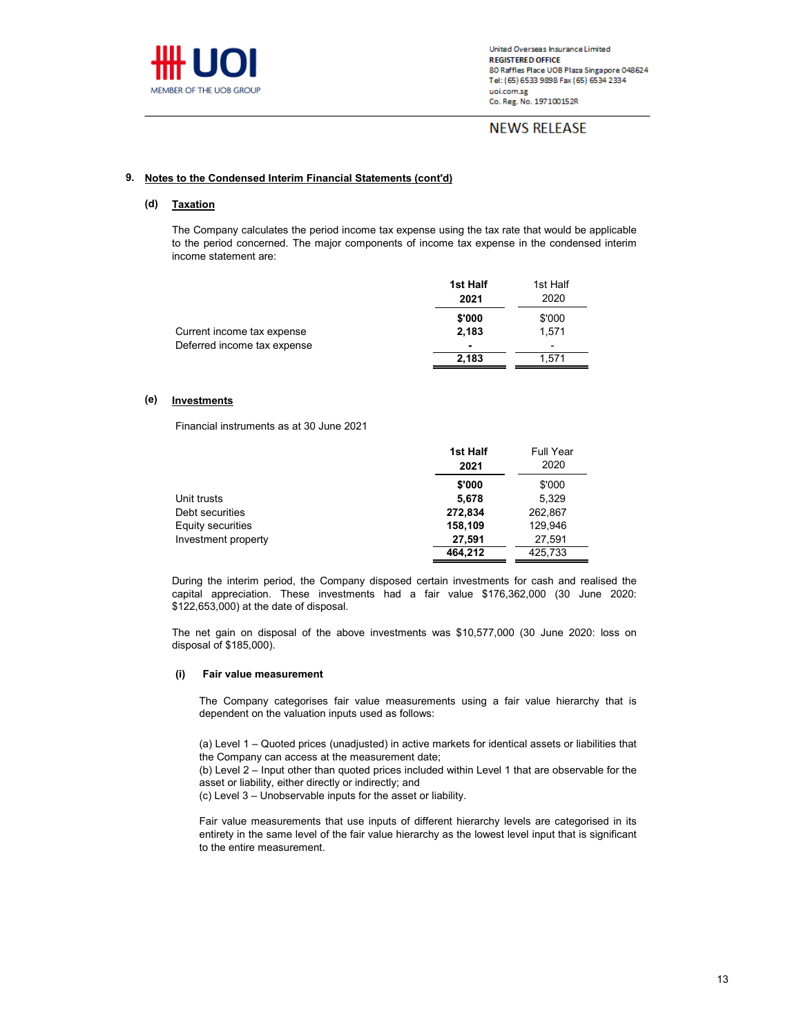

# **NEWS RELEASE**

## **9. Notes to the Condensed Interim Financial Statements (cont'd)**

#### **(d) Taxation**

The Company calculates the period income tax expense using the tax rate that would be applicable to the period concerned. The major components of income tax expense in the condensed interim income statement are:

|                                                           | 1st Half | 1st Half |
|-----------------------------------------------------------|----------|----------|
|                                                           | 2021     | 2020     |
|                                                           | \$'000   | \$'000   |
| Current income tax expense<br>Deferred income tax expense | 2.183    | 1.571    |
|                                                           |          | -        |
|                                                           | 2.183    | 1.571    |
|                                                           |          |          |

#### **(e) Investments**

Financial instruments as at 30 June 2021

|                     | 1st Half | <b>Full Year</b> |  |
|---------------------|----------|------------------|--|
|                     | 2021     | 2020             |  |
|                     | \$'000   | \$'000           |  |
| Unit trusts         | 5.678    | 5.329            |  |
| Debt securities     | 272.834  | 262.867          |  |
| Equity securities   | 158,109  | 129.946          |  |
| Investment property | 27.591   | 27.591           |  |
|                     | 464.212  | 425,733          |  |

During the interim period, the Company disposed certain investments for cash and realised the capital appreciation. These investments had a fair value \$176,362,000 (30 June 2020: \$122,653,000) at the date of disposal.

The net gain on disposal of the above investments was \$10,577,000 (30 June 2020: loss on disposal of \$185,000).

#### **(i) Fair value measurement**

The Company categorises fair value measurements using a fair value hierarchy that is dependent on the valuation inputs used as follows:

(a) Level 1 – Quoted prices (unadjusted) in active markets for identical assets or liabilities that the Company can access at the measurement date;

(b) Level 2 – Input other than quoted prices included within Level 1 that are observable for the asset or liability, either directly or indirectly; and

(c) Level 3 – Unobservable inputs for the asset or liability.

Fair value measurements that use inputs of different hierarchy levels are categorised in its entirety in the same level of the fair value hierarchy as the lowest level input that is significant to the entire measurement.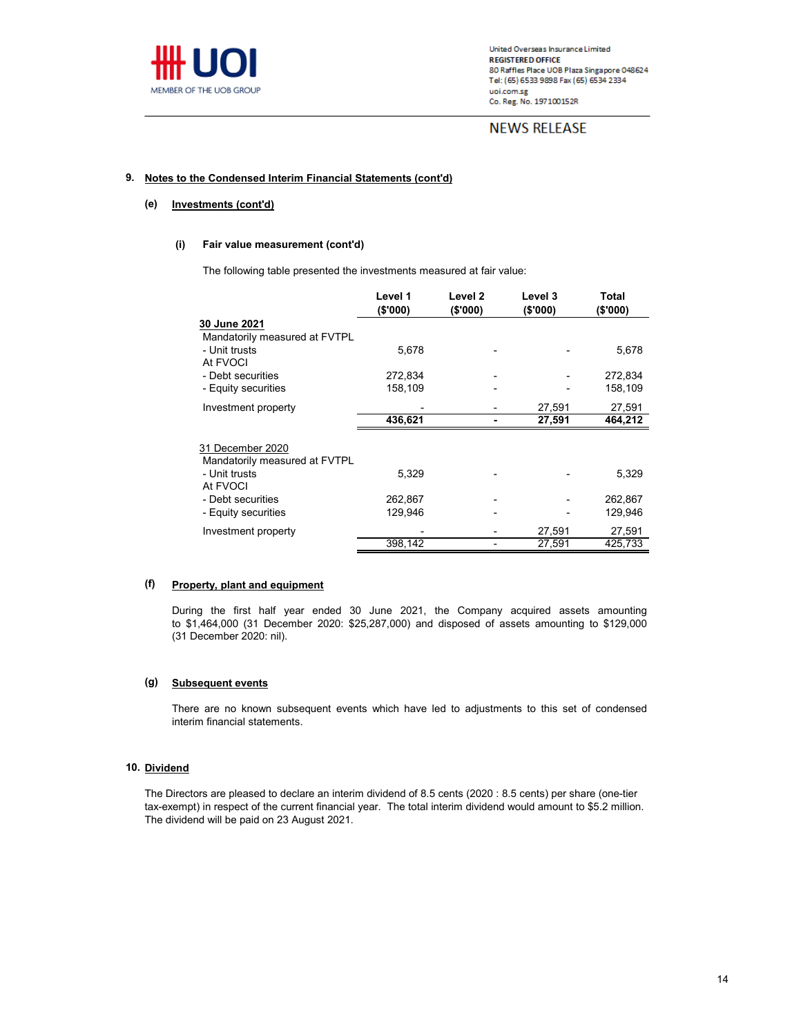

# **NEWS RELEASE**

# **9. Notes to the Condensed Interim Financial Statements (cont'd)**

#### **(e) Investments (cont'd)**

#### **(i) Fair value measurement (cont'd)**

The following table presented the investments measured at fair value:

|                                                            | Level 1<br>(\$'000) | Level <sub>2</sub><br>(\$'000) | Level 3<br>(\$'000) | Total<br>(\$'000)  |
|------------------------------------------------------------|---------------------|--------------------------------|---------------------|--------------------|
| 30 June 2021                                               |                     |                                |                     |                    |
| Mandatorily measured at FVTPL<br>- Unit trusts<br>At FVOCI | 5,678               |                                |                     | 5,678              |
| - Debt securities<br>- Equity securities                   | 272,834<br>158,109  |                                |                     | 272,834<br>158,109 |
| Investment property                                        | 436,621             |                                | 27,591<br>27,591    | 27,591<br>464,212  |
| 31 December 2020                                           |                     |                                |                     |                    |
| Mandatorily measured at FVTPL<br>- Unit trusts<br>At FVOCI | 5,329               |                                |                     | 5,329              |
| - Debt securities<br>- Equity securities                   | 262,867<br>129,946  |                                |                     | 262,867<br>129,946 |
| Investment property                                        | 398,142             |                                | 27,591<br>27,591    | 27,591<br>425,733  |

#### **(f) Property, plant and equipment**

During the first half year ended 30 June 2021, the Company acquired assets amounting to \$1,464,000 (31 December 2020: \$25,287,000) and disposed of assets amounting to \$129,000 (31 December 2020: nil).

#### **(g) Subsequent events**

There are no known subsequent events which have led to adjustments to this set of condensed interim financial statements.

## **10. Dividend**

The Directors are pleased to declare an interim dividend of 8.5 cents (2020 : 8.5 cents) per share (one-tier tax-exempt) in respect of the current financial year. The total interim dividend would amount to \$5.2 million. The dividend will be paid on 23 August 2021.